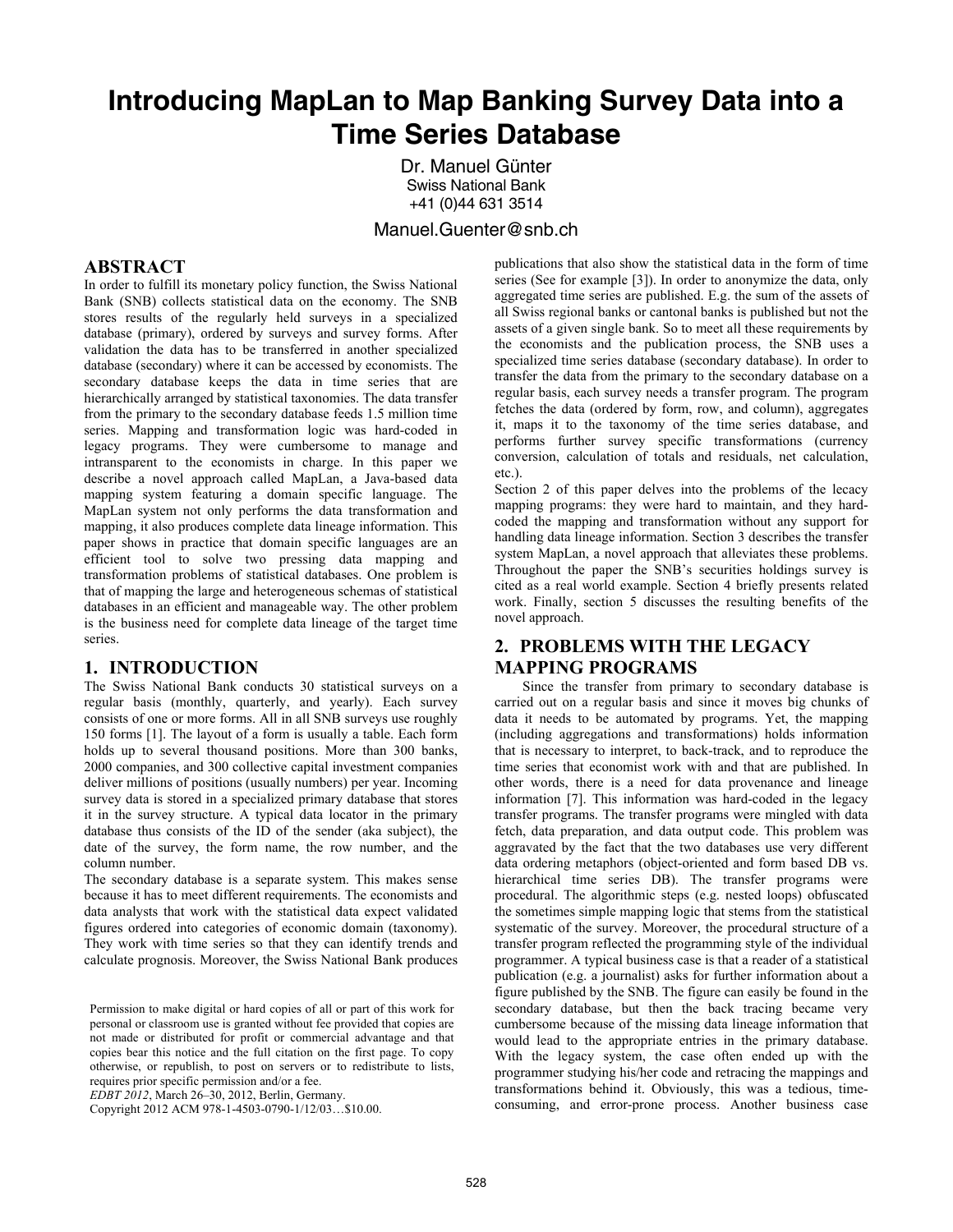# **Introducing MapLan to Map Banking Survey Data into a Time Series Database**

 Dr. Manuel Günter Swiss National Bank +41 (0)44 631 3514

#### Manuel.Guenter@snb.ch

#### **ABSTRACT**

In order to fulfill its monetary policy function, the Swiss National Bank (SNB) collects statistical data on the economy. The SNB stores results of the regularly held surveys in a specialized database (primary), ordered by surveys and survey forms. After validation the data has to be transferred in another specialized database (secondary) where it can be accessed by economists. The secondary database keeps the data in time series that are hierarchically arranged by statistical taxonomies. The data transfer from the primary to the secondary database feeds 1.5 million time series. Mapping and transformation logic was hard-coded in legacy programs. They were cumbersome to manage and intransparent to the economists in charge. In this paper we describe a novel approach called MapLan, a Java-based data mapping system featuring a domain specific language. The MapLan system not only performs the data transformation and mapping, it also produces complete data lineage information. This paper shows in practice that domain specific languages are an efficient tool to solve two pressing data mapping and transformation problems of statistical databases. One problem is that of mapping the large and heterogeneous schemas of statistical databases in an efficient and manageable way. The other problem is the business need for complete data lineage of the target time series.

#### **1. INTRODUCTION**

The Swiss National Bank conducts 30 statistical surveys on a regular basis (monthly, quarterly, and yearly). Each survey consists of one or more forms. All in all SNB surveys use roughly 150 forms [1]. The layout of a form is usually a table. Each form holds up to several thousand positions. More than 300 banks, 2000 companies, and 300 collective capital investment companies deliver millions of positions (usually numbers) per year. Incoming survey data is stored in a specialized primary database that stores it in the survey structure. A typical data locator in the primary database thus consists of the ID of the sender (aka subject), the date of the survey, the form name, the row number, and the column number.

The secondary database is a separate system. This makes sense because it has to meet different requirements. The economists and data analysts that work with the statistical data expect validated figures ordered into categories of economic domain (taxonomy). They work with time series so that they can identify trends and calculate prognosis. Moreover, the Swiss National Bank produces

*EDBT 2012*, March 26–30, 2012, Berlin, Germany.

Copyright 2012 ACM 978-1-4503-0790-1/12/03…\$10.00.

publications that also show the statistical data in the form of time series (See for example [3]). In order to anonymize the data, only aggregated time series are published. E.g. the sum of the assets of all Swiss regional banks or cantonal banks is published but not the assets of a given single bank. So to meet all these requirements by the economists and the publication process, the SNB uses a specialized time series database (secondary database). In order to transfer the data from the primary to the secondary database on a regular basis, each survey needs a transfer program. The program fetches the data (ordered by form, row, and column), aggregates it, maps it to the taxonomy of the time series database, and performs further survey specific transformations (currency conversion, calculation of totals and residuals, net calculation, etc.).

Section 2 of this paper delves into the problems of the lecacy mapping programs: they were hard to maintain, and they hardcoded the mapping and transformation without any support for handling data lineage information. Section 3 describes the transfer system MapLan, a novel approach that alleviates these problems. Throughout the paper the SNB's securities holdings survey is cited as a real world example. Section 4 briefly presents related work. Finally, section 5 discusses the resulting benefits of the novel approach.

# **2. PROBLEMS WITH THE LEGACY MAPPING PROGRAMS**

Since the transfer from primary to secondary database is carried out on a regular basis and since it moves big chunks of data it needs to be automated by programs. Yet, the mapping (including aggregations and transformations) holds information that is necessary to interpret, to back-track, and to reproduce the time series that economist work with and that are published. In other words, there is a need for data provenance and lineage information [7]. This information was hard-coded in the legacy transfer programs. The transfer programs were mingled with data fetch, data preparation, and data output code. This problem was aggravated by the fact that the two databases use very different data ordering metaphors (object-oriented and form based DB vs. hierarchical time series DB). The transfer programs were procedural. The algorithmic steps (e.g. nested loops) obfuscated the sometimes simple mapping logic that stems from the statistical systematic of the survey. Moreover, the procedural structure of a transfer program reflected the programming style of the individual programmer. A typical business case is that a reader of a statistical publication (e.g. a journalist) asks for further information about a figure published by the SNB. The figure can easily be found in the secondary database, but then the back tracing became very cumbersome because of the missing data lineage information that would lead to the appropriate entries in the primary database. With the legacy system, the case often ended up with the programmer studying his/her code and retracing the mappings and transformations behind it. Obviously, this was a tedious, timeconsuming, and error-prone process. Another business case

Permission to make digital or hard copies of all or part of this work for personal or classroom use is granted without fee provided that copies are not made or distributed for profit or commercial advantage and that copies bear this notice and the full citation on the first page. To copy otherwise, or republish, to post on servers or to redistribute to lists, requires prior specific permission and/or a fee.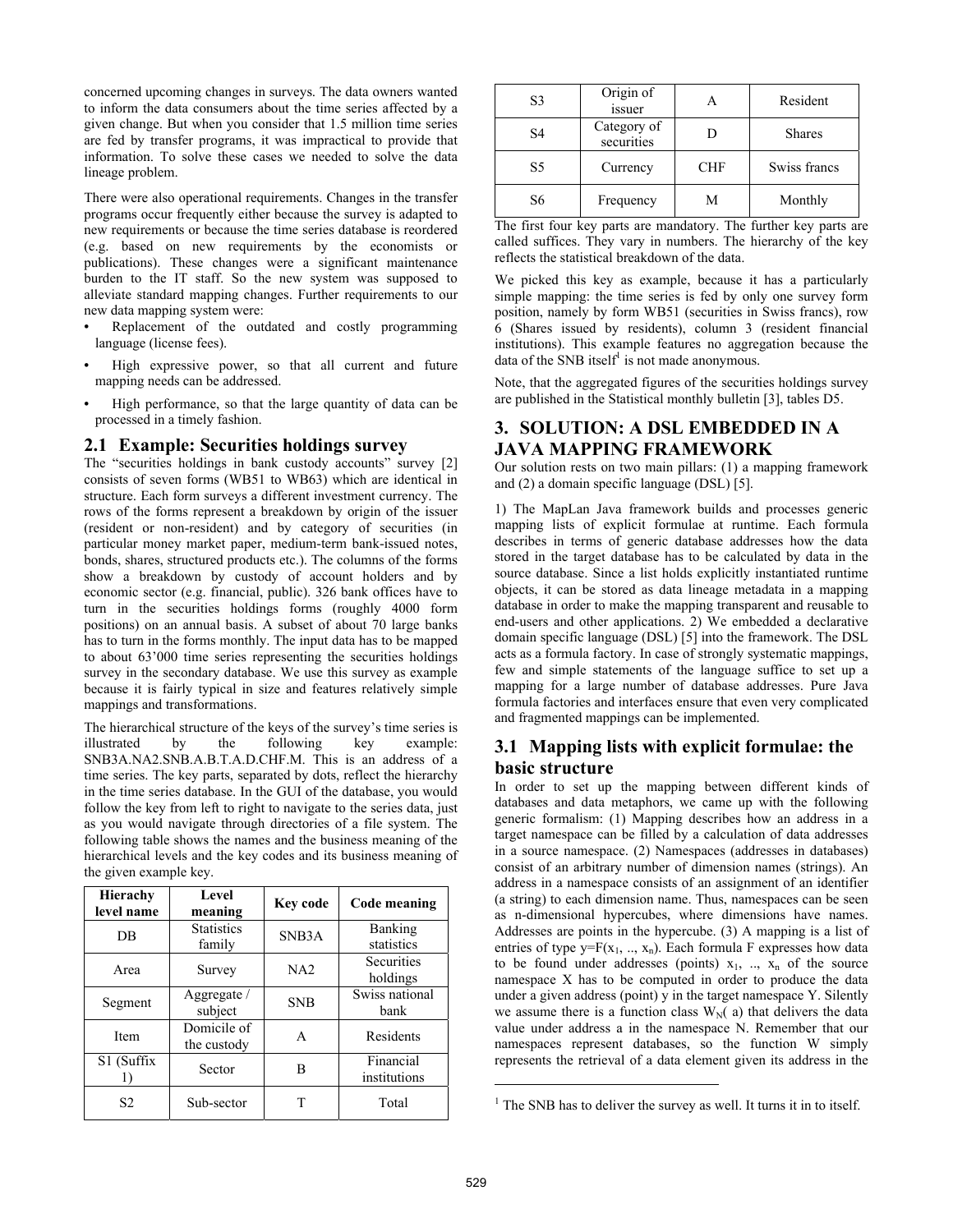concerned upcoming changes in surveys. The data owners wanted to inform the data consumers about the time series affected by a given change. But when you consider that 1.5 million time series are fed by transfer programs, it was impractical to provide that information. To solve these cases we needed to solve the data lineage problem.

There were also operational requirements. Changes in the transfer programs occur frequently either because the survey is adapted to new requirements or because the time series database is reordered (e.g. based on new requirements by the economists or publications). These changes were a significant maintenance burden to the IT staff. So the new system was supposed to alleviate standard mapping changes. Further requirements to our new data mapping system were:

- Replacement of the outdated and costly programming language (license fees).
- High expressive power, so that all current and future mapping needs can be addressed.
- High performance, so that the large quantity of data can be processed in a timely fashion.

#### **2.1 Example: Securities holdings survey**

The "securities holdings in bank custody accounts" survey [2] consists of seven forms (WB51 to WB63) which are identical in structure. Each form surveys a different investment currency. The rows of the forms represent a breakdown by origin of the issuer (resident or non-resident) and by category of securities (in particular money market paper, medium-term bank-issued notes, bonds, shares, structured products etc.). The columns of the forms show a breakdown by custody of account holders and by economic sector (e.g. financial, public). 326 bank offices have to turn in the securities holdings forms (roughly 4000 form positions) on an annual basis. A subset of about 70 large banks has to turn in the forms monthly. The input data has to be mapped to about 63'000 time series representing the securities holdings survey in the secondary database. We use this survey as example because it is fairly typical in size and features relatively simple mappings and transformations.

The hierarchical structure of the keys of the survey's time series is illustrated by the following key example: SNB3A.NA2.SNB.A.B.T.A.D.CHF.M. This is an address of a time series. The key parts, separated by dots, reflect the hierarchy in the time series database. In the GUI of the database, you would follow the key from left to right to navigate to the series data, just as you would navigate through directories of a file system. The following table shows the names and the business meaning of the hierarchical levels and the key codes and its business meaning of the given example key.

| Hierachy<br>level name | Level<br>meaning            | Key code   | Code meaning              |
|------------------------|-----------------------------|------------|---------------------------|
| DB                     | <b>Statistics</b><br>family | SNB3A      | Banking<br>statistics     |
| Area                   | Survey                      | NA2        | Securities<br>holdings    |
| Segment                | Aggregate /<br>subject      | <b>SNB</b> | Swiss national<br>bank    |
| Item                   | Domicile of<br>the custody  | A          | Residents                 |
| S1 (Suffix             | Sector                      | в          | Financial<br>institutions |
| S <sub>2</sub>         | Sub-sector                  | T          | Total                     |

| S3 | Origin of<br>issuer       |            | Resident      |
|----|---------------------------|------------|---------------|
| S4 | Category of<br>securities |            | <b>Shares</b> |
| S5 | Currency                  | <b>CHF</b> | Swiss francs  |
| S6 | Frequency                 | M          | Monthly       |

The first four key parts are mandatory. The further key parts are called suffices. They vary in numbers. The hierarchy of the key reflects the statistical breakdown of the data.

We picked this key as example, because it has a particularly simple mapping: the time series is fed by only one survey form position, namely by form WB51 (securities in Swiss francs), row 6 (Shares issued by residents), column 3 (resident financial institutions). This example features no aggregation because the data of the SNB itself<sup>1</sup> is not made anonymous.

Note, that the aggregated figures of the securities holdings survey are published in the Statistical monthly bulletin [3], tables D5.

## **3. SOLUTION: A DSL EMBEDDED IN A JAVA MAPPING FRAMEWORK**

Our solution rests on two main pillars: (1) a mapping framework and (2) a domain specific language (DSL) [5].

1) The MapLan Java framework builds and processes generic mapping lists of explicit formulae at runtime. Each formula describes in terms of generic database addresses how the data stored in the target database has to be calculated by data in the source database. Since a list holds explicitly instantiated runtime objects, it can be stored as data lineage metadata in a mapping database in order to make the mapping transparent and reusable to end-users and other applications. 2) We embedded a declarative domain specific language (DSL) [5] into the framework. The DSL acts as a formula factory. In case of strongly systematic mappings, few and simple statements of the language suffice to set up a mapping for a large number of database addresses. Pure Java formula factories and interfaces ensure that even very complicated and fragmented mappings can be implemented.

## **3.1 Mapping lists with explicit formulae: the basic structure**

In order to set up the mapping between different kinds of databases and data metaphors, we came up with the following generic formalism: (1) Mapping describes how an address in a target namespace can be filled by a calculation of data addresses in a source namespace. (2) Namespaces (addresses in databases) consist of an arbitrary number of dimension names (strings). An address in a namespace consists of an assignment of an identifier (a string) to each dimension name. Thus, namespaces can be seen as n-dimensional hypercubes, where dimensions have names. Addresses are points in the hypercube. (3) A mapping is a list of entries of type  $y = F(x_1, ..., x_n)$ . Each formula F expresses how data to be found under addresses (points)  $x_1$ , ..,  $x_n$  of the source namespace X has to be computed in order to produce the data under a given address (point) y in the target namespace Y. Silently we assume there is a function class  $W_N(a)$  that delivers the data value under address a in the namespace N. Remember that our namespaces represent databases, so the function W simply represents the retrieval of a data element given its address in the

 $\overline{a}$ 

<sup>&</sup>lt;sup>1</sup> The SNB has to deliver the survey as well. It turns it in to itself.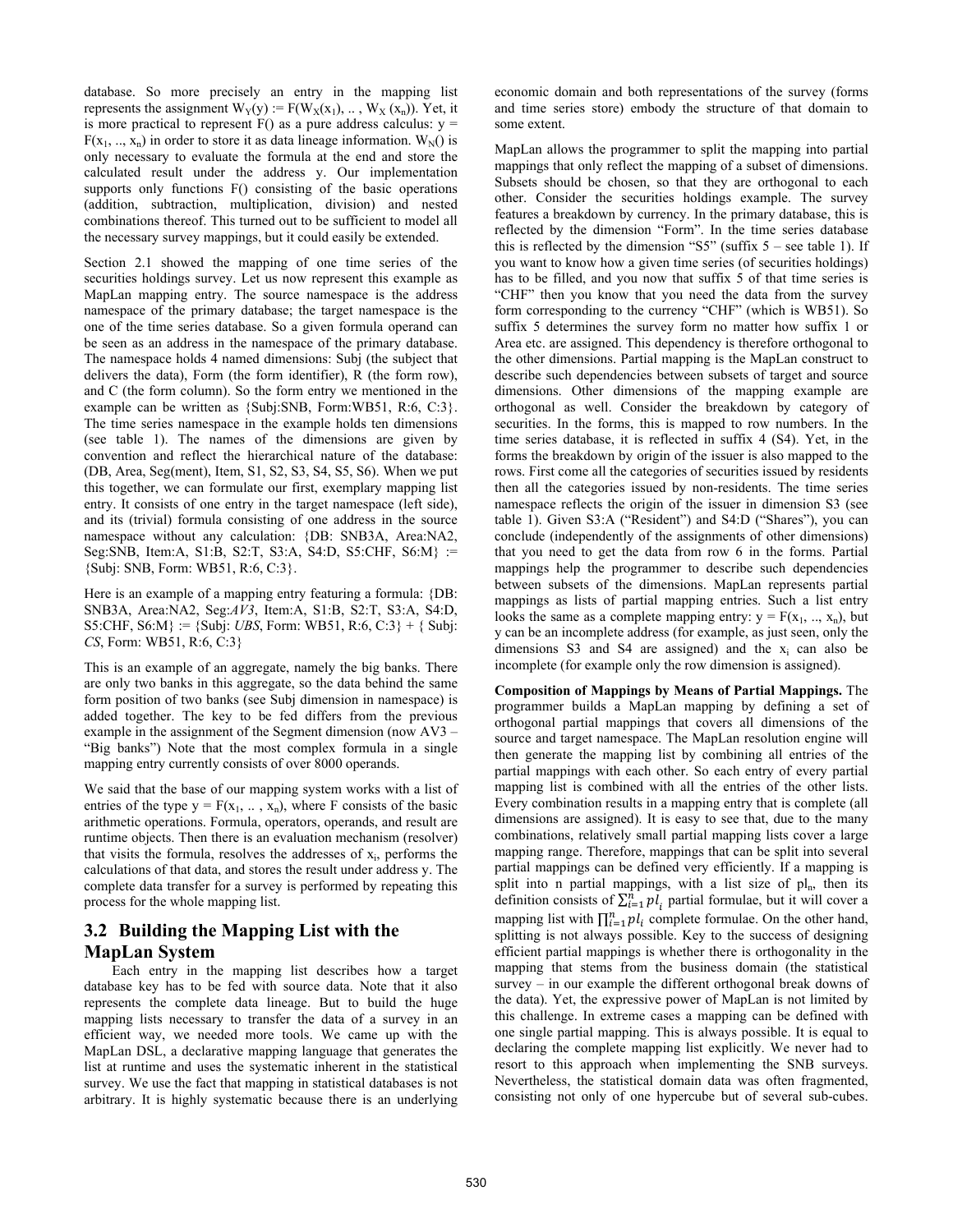database. So more precisely an entry in the mapping list represents the assignment  $W_Y(y) := F(W_X(x_1), \dots, W_X(x_n))$ . Yet, it is more practical to represent  $F()$  as a pure address calculus:  $v =$  $F(x_1, ..., x_n)$  in order to store it as data lineage information.  $W_N()$  is only necessary to evaluate the formula at the end and store the calculated result under the address y. Our implementation supports only functions F() consisting of the basic operations (addition, subtraction, multiplication, division) and nested combinations thereof. This turned out to be sufficient to model all the necessary survey mappings, but it could easily be extended.

Section 2.1 showed the mapping of one time series of the securities holdings survey. Let us now represent this example as MapLan mapping entry. The source namespace is the address namespace of the primary database; the target namespace is the one of the time series database. So a given formula operand can be seen as an address in the namespace of the primary database. The namespace holds 4 named dimensions: Subj (the subject that delivers the data), Form (the form identifier), R (the form row), and C (the form column). So the form entry we mentioned in the example can be written as {Subj:SNB, Form:WB51, R:6, C:3}. The time series namespace in the example holds ten dimensions (see table 1). The names of the dimensions are given by convention and reflect the hierarchical nature of the database: (DB, Area, Seg(ment), Item, S1, S2, S3, S4, S5, S6). When we put this together, we can formulate our first, exemplary mapping list entry. It consists of one entry in the target namespace (left side), and its (trivial) formula consisting of one address in the source namespace without any calculation: {DB: SNB3A, Area:NA2, Seg:SNB, Item:A, S1:B, S2:T, S3:A, S4:D, S5:CHF, S6:M} := {Subj: SNB, Form: WB51, R:6, C:3}.

Here is an example of a mapping entry featuring a formula: {DB: SNB3A, Area:NA2, Seg:*AV3*, Item:A, S1:B, S2:T, S3:A, S4:D, S5:CHF,  $S6:M$  := {Subj: *UBS*, Form: WB51, R:6, C:3} + { Subj: *CS*, Form: WB51, R:6, C:3}

This is an example of an aggregate, namely the big banks. There are only two banks in this aggregate, so the data behind the same form position of two banks (see Subj dimension in namespace) is added together. The key to be fed differs from the previous example in the assignment of the Segment dimension (now AV3 – "Big banks") Note that the most complex formula in a single mapping entry currently consists of over 8000 operands.

We said that the base of our mapping system works with a list of entries of the type  $y = F(x_1, \ldots, x_n)$ , where F consists of the basic arithmetic operations. Formula, operators, operands, and result are runtime objects. Then there is an evaluation mechanism (resolver) that visits the formula, resolves the addresses of  $x_i$ , performs the calculations of that data, and stores the result under address y. The complete data transfer for a survey is performed by repeating this process for the whole mapping list.

## **3.2 Building the Mapping List with the MapLan System**

Each entry in the mapping list describes how a target database key has to be fed with source data. Note that it also represents the complete data lineage. But to build the huge mapping lists necessary to transfer the data of a survey in an efficient way, we needed more tools. We came up with the MapLan DSL, a declarative mapping language that generates the list at runtime and uses the systematic inherent in the statistical survey. We use the fact that mapping in statistical databases is not arbitrary. It is highly systematic because there is an underlying economic domain and both representations of the survey (forms and time series store) embody the structure of that domain to some extent.

MapLan allows the programmer to split the mapping into partial mappings that only reflect the mapping of a subset of dimensions. Subsets should be chosen, so that they are orthogonal to each other. Consider the securities holdings example. The survey features a breakdown by currency. In the primary database, this is reflected by the dimension "Form". In the time series database this is reflected by the dimension "S5" (suffix  $5$  – see table 1). If you want to know how a given time series (of securities holdings) has to be filled, and you now that suffix 5 of that time series is "CHF" then you know that you need the data from the survey form corresponding to the currency "CHF" (which is WB51). So suffix 5 determines the survey form no matter how suffix 1 or Area etc. are assigned. This dependency is therefore orthogonal to the other dimensions. Partial mapping is the MapLan construct to describe such dependencies between subsets of target and source dimensions. Other dimensions of the mapping example are orthogonal as well. Consider the breakdown by category of securities. In the forms, this is mapped to row numbers. In the time series database, it is reflected in suffix 4 (S4). Yet, in the forms the breakdown by origin of the issuer is also mapped to the rows. First come all the categories of securities issued by residents then all the categories issued by non-residents. The time series namespace reflects the origin of the issuer in dimension S3 (see table 1). Given S3:A ("Resident") and S4:D ("Shares"), you can conclude (independently of the assignments of other dimensions) that you need to get the data from row 6 in the forms. Partial mappings help the programmer to describe such dependencies between subsets of the dimensions. MapLan represents partial mappings as lists of partial mapping entries. Such a list entry looks the same as a complete mapping entry:  $y = F(x_1, ..., x_n)$ , but y can be an incomplete address (for example, as just seen, only the dimensions S3 and S4 are assigned) and the  $x_i$  can also be incomplete (for example only the row dimension is assigned).

**Composition of Mappings by Means of Partial Mappings.** The programmer builds a MapLan mapping by defining a set of orthogonal partial mappings that covers all dimensions of the source and target namespace. The MapLan resolution engine will then generate the mapping list by combining all entries of the partial mappings with each other. So each entry of every partial mapping list is combined with all the entries of the other lists. Every combination results in a mapping entry that is complete (all dimensions are assigned). It is easy to see that, due to the many combinations, relatively small partial mapping lists cover a large mapping range. Therefore, mappings that can be split into several partial mappings can be defined very efficiently. If a mapping is split into n partial mappings, with a list size of  $pl<sub>n</sub>$ , then its definition consists of  $\sum_{i=1}^{n} pl_i$  partial formulae, but it will cover a mapping list with  $\prod_{i=1}^{n} pl_i$  complete formulae. On the other hand, splitting is not always possible. Key to the success of designing efficient partial mappings is whether there is orthogonality in the mapping that stems from the business domain (the statistical survey – in our example the different orthogonal break downs of the data). Yet, the expressive power of MapLan is not limited by this challenge. In extreme cases a mapping can be defined with one single partial mapping. This is always possible. It is equal to declaring the complete mapping list explicitly. We never had to resort to this approach when implementing the SNB surveys. Nevertheless, the statistical domain data was often fragmented, consisting not only of one hypercube but of several sub-cubes.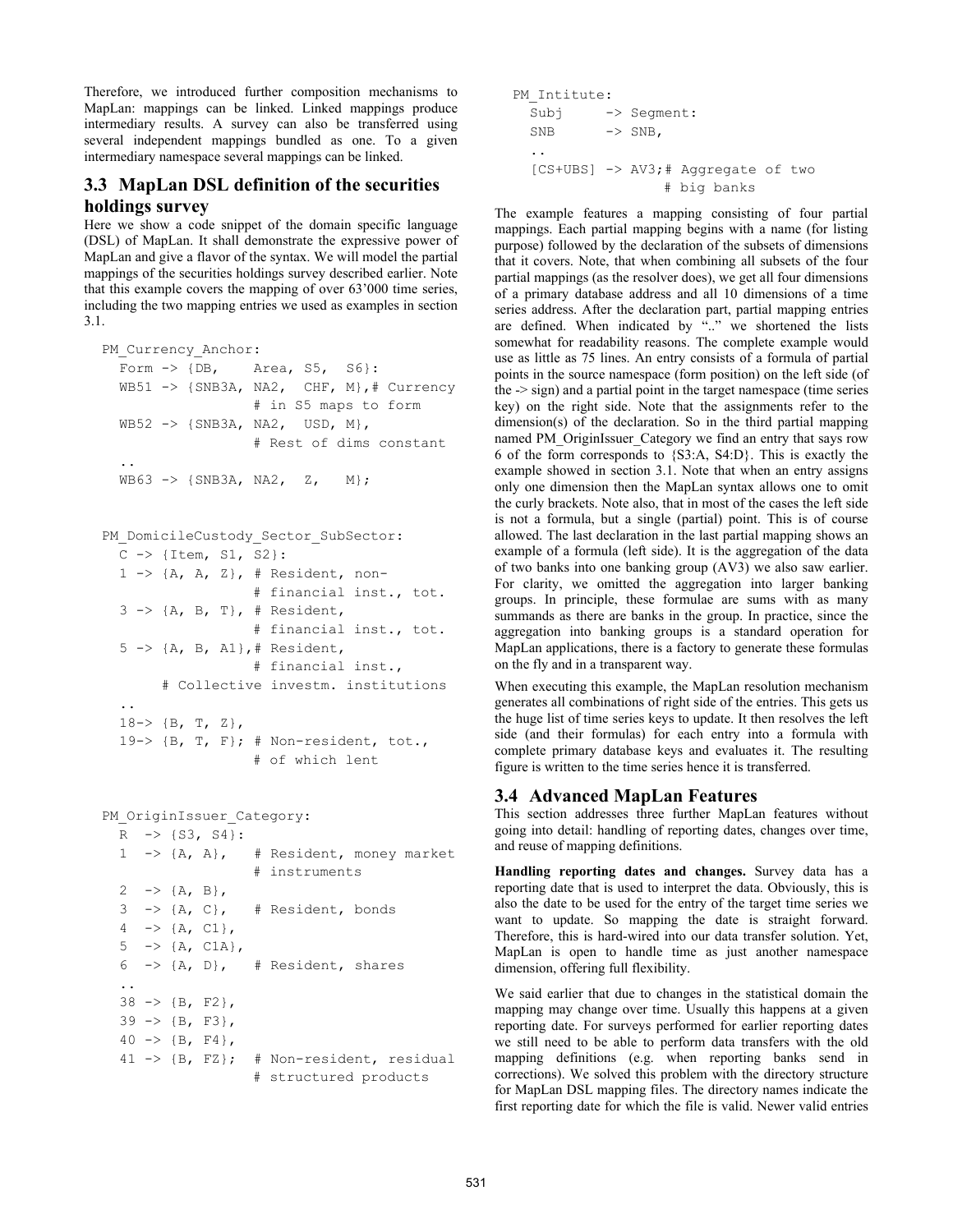Therefore, we introduced further composition mechanisms to MapLan: mappings can be linked. Linked mappings produce intermediary results. A survey can also be transferred using several independent mappings bundled as one. To a given intermediary namespace several mappings can be linked.

## **3.3 MapLan DSL definition of the securities holdings survey**

Here we show a code snippet of the domain specific language (DSL) of MapLan. It shall demonstrate the expressive power of MapLan and give a flavor of the syntax. We will model the partial mappings of the securities holdings survey described earlier. Note that this example covers the mapping of over 63'000 time series, including the two mapping entries we used as examples in section 3.1.

```
PM Currency Anchor:
 Form \rightarrow {DB, Area, S5, S6}:
  WB51 -> {SNB3A, NA2, CHF, M},# Currency 
                    # in S5 maps to form 
  WB52 -> {SNB3A, NA2, USD, M}, 
                    # Rest of dims constant 
  .. 
 WB63 \rightarrow \{SNB3A, NA2, Z, M\};
```

```
PM_DomicileCustody_Sector SubSector:
 C \rightarrow \{Item, SI, S2\}:
 1 \rightarrow \{A, A, Z\}, # Resident, non-
                    # financial inst., tot. 
 3 \rightarrow \{A, B, T\}, \# Resident,
                    # financial inst., tot. 
  5 -> {A, B, A1},# Resident, 
                    # financial inst., 
        # Collective investm. institutions 
.. 
 18-> {B, T, Z},19-> \{B, T, F\}; # Non-resident, tot.,
                     # of which lent
```

```
PM_OriginIssuer_Category:
 R -> {S3, S4}:
  1 -> {A, A}, # Resident, money market 
                       # instruments 
 2 \rightarrow {A, B},
 3 \rightarrow \{A, C\}, \quad # Resident, bonds
 4 \rightarrow \{A, C1\},5 \rightarrow \{A, C1A\},6 \rightarrow \{A, D\}, \# Resident, shares
  .. 
 38 \rightarrow \{B, F2\},39 \rightarrow \{B, F3\},40 \rightarrow \{B, F4\}, 41 -> {B, FZ}; # Non-resident, residual 
                       # structured products
```

```
PM Intitute:
  Subj -> Segment: 
 SNB \rightarrow SNB,
.. 
  [CS+UBS] -> AV3;# Aggregate of two 
                   # big banks
```
The example features a mapping consisting of four partial mappings. Each partial mapping begins with a name (for listing purpose) followed by the declaration of the subsets of dimensions that it covers. Note, that when combining all subsets of the four partial mappings (as the resolver does), we get all four dimensions of a primary database address and all 10 dimensions of a time series address. After the declaration part, partial mapping entries are defined. When indicated by ".." we shortened the lists somewhat for readability reasons. The complete example would use as little as 75 lines. An entry consists of a formula of partial points in the source namespace (form position) on the left side (of the -> sign) and a partial point in the target namespace (time series key) on the right side. Note that the assignments refer to the dimension(s) of the declaration. So in the third partial mapping named PM\_OriginIssuer\_Category we find an entry that says row 6 of the form corresponds to {S3:A, S4:D}. This is exactly the example showed in section 3.1. Note that when an entry assigns only one dimension then the MapLan syntax allows one to omit the curly brackets. Note also, that in most of the cases the left side is not a formula, but a single (partial) point. This is of course allowed. The last declaration in the last partial mapping shows an example of a formula (left side). It is the aggregation of the data of two banks into one banking group (AV3) we also saw earlier. For clarity, we omitted the aggregation into larger banking groups. In principle, these formulae are sums with as many summands as there are banks in the group. In practice, since the aggregation into banking groups is a standard operation for MapLan applications, there is a factory to generate these formulas on the fly and in a transparent way.

When executing this example, the MapLan resolution mechanism generates all combinations of right side of the entries. This gets us the huge list of time series keys to update. It then resolves the left side (and their formulas) for each entry into a formula with complete primary database keys and evaluates it. The resulting figure is written to the time series hence it is transferred.

#### **3.4 Advanced MapLan Features**

This section addresses three further MapLan features without going into detail: handling of reporting dates, changes over time, and reuse of mapping definitions.

**Handling reporting dates and changes.** Survey data has a reporting date that is used to interpret the data. Obviously, this is also the date to be used for the entry of the target time series we want to update. So mapping the date is straight forward. Therefore, this is hard-wired into our data transfer solution. Yet, MapLan is open to handle time as just another namespace dimension, offering full flexibility.

We said earlier that due to changes in the statistical domain the mapping may change over time. Usually this happens at a given reporting date. For surveys performed for earlier reporting dates we still need to be able to perform data transfers with the old mapping definitions (e.g. when reporting banks send in corrections). We solved this problem with the directory structure for MapLan DSL mapping files. The directory names indicate the first reporting date for which the file is valid. Newer valid entries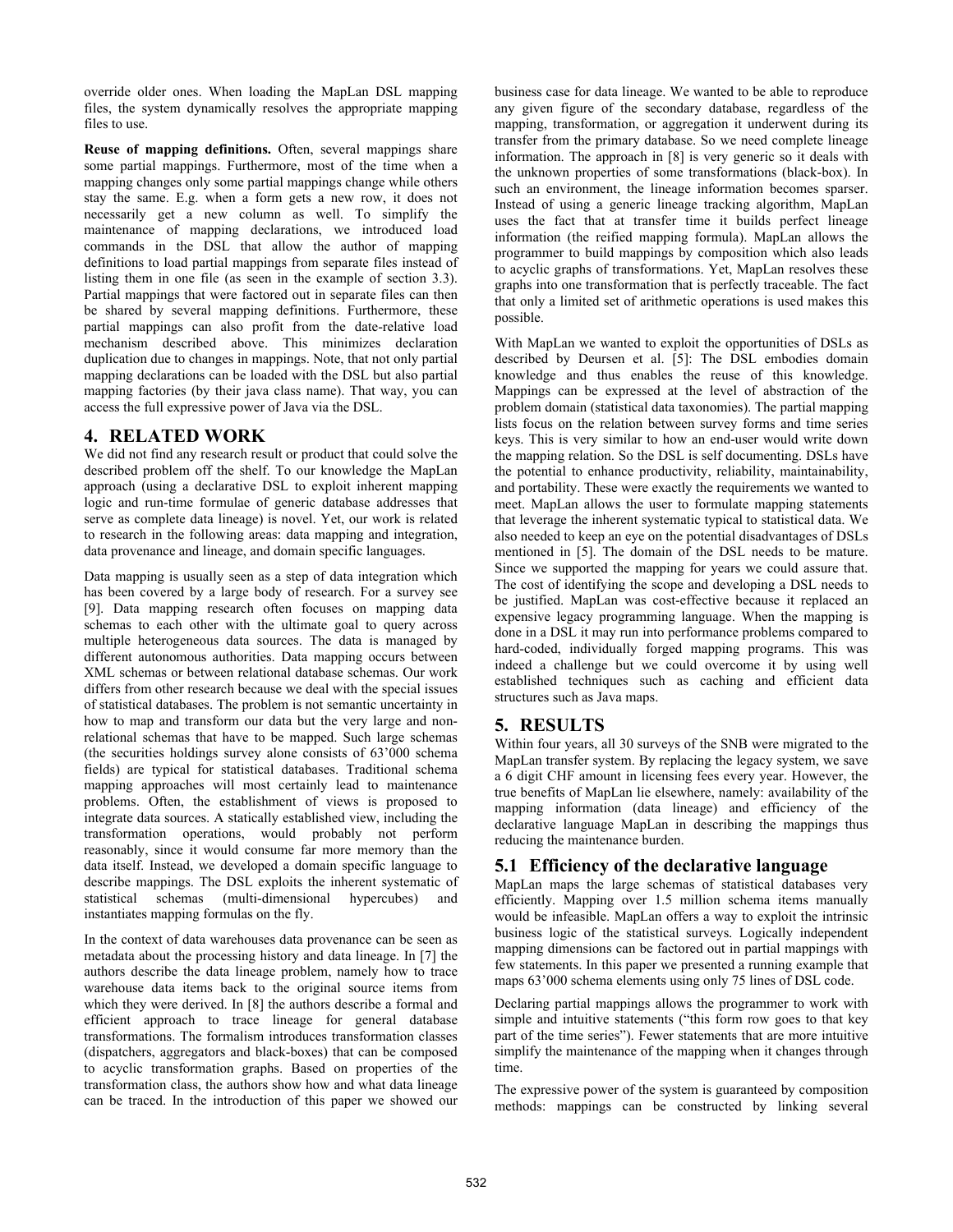override older ones. When loading the MapLan DSL mapping files, the system dynamically resolves the appropriate mapping files to use.

**Reuse of mapping definitions.** Often, several mappings share some partial mappings. Furthermore, most of the time when a mapping changes only some partial mappings change while others stay the same. E.g. when a form gets a new row, it does not necessarily get a new column as well. To simplify the maintenance of mapping declarations, we introduced load commands in the DSL that allow the author of mapping definitions to load partial mappings from separate files instead of listing them in one file (as seen in the example of section 3.3). Partial mappings that were factored out in separate files can then be shared by several mapping definitions. Furthermore, these partial mappings can also profit from the date-relative load mechanism described above. This minimizes declaration duplication due to changes in mappings. Note, that not only partial mapping declarations can be loaded with the DSL but also partial mapping factories (by their java class name). That way, you can access the full expressive power of Java via the DSL.

## **4. RELATED WORK**

We did not find any research result or product that could solve the described problem off the shelf. To our knowledge the MapLan approach (using a declarative DSL to exploit inherent mapping logic and run-time formulae of generic database addresses that serve as complete data lineage) is novel. Yet, our work is related to research in the following areas: data mapping and integration, data provenance and lineage, and domain specific languages.

Data mapping is usually seen as a step of data integration which has been covered by a large body of research. For a survey see [9]. Data mapping research often focuses on mapping data schemas to each other with the ultimate goal to query across multiple heterogeneous data sources. The data is managed by different autonomous authorities. Data mapping occurs between XML schemas or between relational database schemas. Our work differs from other research because we deal with the special issues of statistical databases. The problem is not semantic uncertainty in how to map and transform our data but the very large and nonrelational schemas that have to be mapped. Such large schemas (the securities holdings survey alone consists of 63'000 schema fields) are typical for statistical databases. Traditional schema mapping approaches will most certainly lead to maintenance problems. Often, the establishment of views is proposed to integrate data sources. A statically established view, including the transformation operations, would probably not perform reasonably, since it would consume far more memory than the data itself. Instead, we developed a domain specific language to describe mappings. The DSL exploits the inherent systematic of statistical schemas (multi-dimensional hypercubes) and instantiates mapping formulas on the fly.

In the context of data warehouses data provenance can be seen as metadata about the processing history and data lineage. In [7] the authors describe the data lineage problem, namely how to trace warehouse data items back to the original source items from which they were derived. In [8] the authors describe a formal and efficient approach to trace lineage for general database transformations. The formalism introduces transformation classes (dispatchers, aggregators and black-boxes) that can be composed to acyclic transformation graphs. Based on properties of the transformation class, the authors show how and what data lineage can be traced. In the introduction of this paper we showed our business case for data lineage. We wanted to be able to reproduce any given figure of the secondary database, regardless of the mapping, transformation, or aggregation it underwent during its transfer from the primary database. So we need complete lineage information. The approach in [8] is very generic so it deals with the unknown properties of some transformations (black-box). In such an environment, the lineage information becomes sparser. Instead of using a generic lineage tracking algorithm, MapLan uses the fact that at transfer time it builds perfect lineage information (the reified mapping formula). MapLan allows the programmer to build mappings by composition which also leads to acyclic graphs of transformations. Yet, MapLan resolves these graphs into one transformation that is perfectly traceable. The fact that only a limited set of arithmetic operations is used makes this possible.

With MapLan we wanted to exploit the opportunities of DSLs as described by Deursen et al. [5]: The DSL embodies domain knowledge and thus enables the reuse of this knowledge. Mappings can be expressed at the level of abstraction of the problem domain (statistical data taxonomies). The partial mapping lists focus on the relation between survey forms and time series keys. This is very similar to how an end-user would write down the mapping relation. So the DSL is self documenting. DSLs have the potential to enhance productivity, reliability, maintainability, and portability. These were exactly the requirements we wanted to meet. MapLan allows the user to formulate mapping statements that leverage the inherent systematic typical to statistical data. We also needed to keep an eye on the potential disadvantages of DSLs mentioned in [5]. The domain of the DSL needs to be mature. Since we supported the mapping for years we could assure that. The cost of identifying the scope and developing a DSL needs to be justified. MapLan was cost-effective because it replaced an expensive legacy programming language. When the mapping is done in a DSL it may run into performance problems compared to hard-coded, individually forged mapping programs. This was indeed a challenge but we could overcome it by using well established techniques such as caching and efficient data structures such as Java maps.

#### **5. RESULTS**

Within four years, all 30 surveys of the SNB were migrated to the MapLan transfer system. By replacing the legacy system, we save a 6 digit CHF amount in licensing fees every year. However, the true benefits of MapLan lie elsewhere, namely: availability of the mapping information (data lineage) and efficiency of the declarative language MapLan in describing the mappings thus reducing the maintenance burden.

#### **5.1 Efficiency of the declarative language**

MapLan maps the large schemas of statistical databases very efficiently. Mapping over 1.5 million schema items manually would be infeasible. MapLan offers a way to exploit the intrinsic business logic of the statistical surveys. Logically independent mapping dimensions can be factored out in partial mappings with few statements. In this paper we presented a running example that maps 63'000 schema elements using only 75 lines of DSL code.

Declaring partial mappings allows the programmer to work with simple and intuitive statements ("this form row goes to that key part of the time series"). Fewer statements that are more intuitive simplify the maintenance of the mapping when it changes through time.

The expressive power of the system is guaranteed by composition methods: mappings can be constructed by linking several